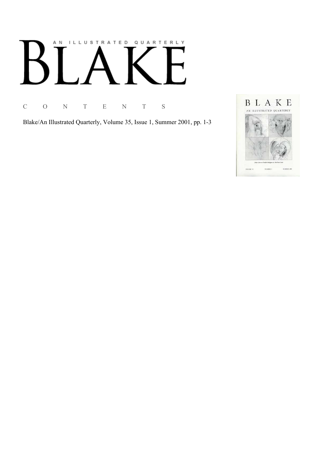# AN ILLUSTRATED QUARTERLY

C O N T E N T S

Blake/An Illustrated Quarterly, Volume 35, Issue 1, Summer 2001, pp. 1-3

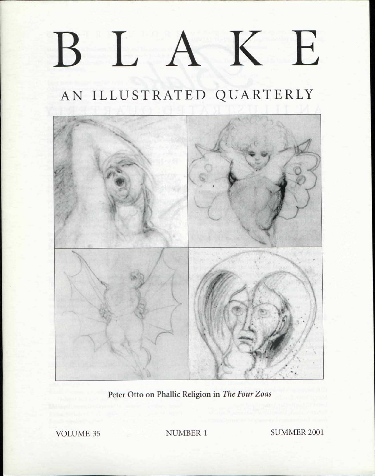## BLAK E

## AN ILLUSTRATED QUARTERLY



Peter Otto on Phallic Religion in *The Four Zoas* 

VOLUME 35 NUMBER 1 SUMMER 2001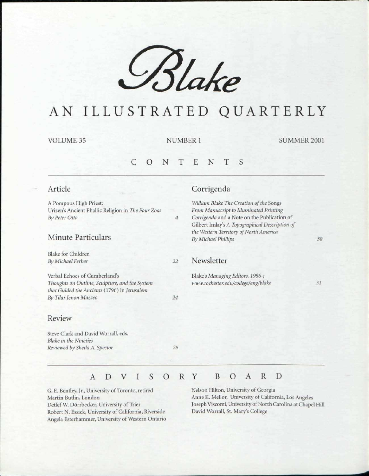

## AN ILLUSTRATED QUARTERLY

VOLUME 35 NUMBER 1 SUMMER 2001

#### S C O N T E N T

#### Article

A Pompous High Priest: Urizen's Ancient Phallic Religion in *The Four Zoas By Peter Otto* 

#### Minute Particulars

Blake for Children *By Michael Ferber* 

Verbal Echoes of Cumberland's *Thoughts on Outline, Sculpture, and the System that Guided the Ancients* (1796) in *Jerusalem By Tilar Jenon Mazzeo* 

#### Review

Steve Clark and David Worrall, eds. *Blake in the Nineties Reviewed by Sheila A. Spector 26* 

*24* 

 $\overline{4}$ 

### Corrigenda

*William Blake The Creation of the* Songs *From Manuscript to Illuminated Printing Corrigenda* and a Note on the Publication of Gilbert Imlay's *A Topographical Description of the Western Territory of North America By Michael Phillips* 

#### *22* Newsletter

Blake's Managing Editors, 1986-; *www.rochester.edu/collcgc/eng/blakc* 

*31* 

*30* 

#### ADVISOR Y B O A R

G. E. Bentley, Jr., University of Toronto, retired Martin Butlin, London Detlef W. Dorrbecker, University of Trier Robert N. Essick, University of California, Riverside Angela Esterhammer, University of Western Ontario Nelson Hilton, University of Georgia Anne K. Mellor, University of California, Los Angeles Joseph Viscomi, University of North Carolina at Chapel Hill David Worrall, St. Mary's College